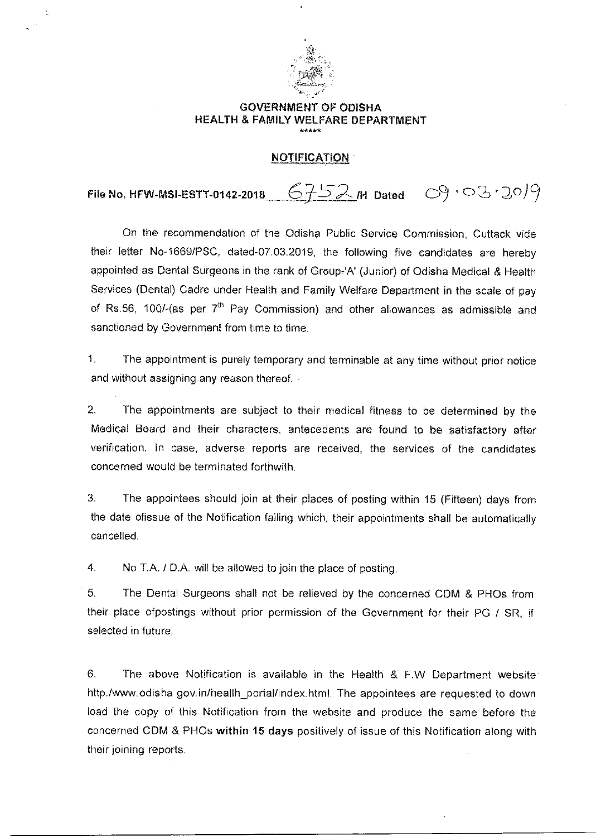

 $\geq$ 

## GOVERNMENT OF ODISHA HEALTH & FAMILY WELFARE DEPARTMENT \*\*\*\*\*

## NOTIFICATION

File No. HFW-MSI-ESTT-0142-2018  $6752$  /H Dated  $69.03.20$ 

On the recommendation of the Odisha Public Service Commission, Cuttack vide their letter No-1669/PSC, dated-07.03.2019, the following five candidates are hereby appointed as Dental Surgeons in the rank of Group-'A' (Junior) of Odisha Medical & Health Services (Dental) Cadre under Health and Family Welfare Department in the scale of pay of Rs.56, 100/-(as per  $7<sup>th</sup>$  Pay Commission) and other allowances as admissible and sanctioned by Government from time to time.

1. The appointment is purely temporary and terminable at any time without prior notice and without assigning any reason thereof.  $\cdot$ 

2. The appointments are subject to their medical fitness to be determined by the Medical Board and their characters, antecedents are found to be satisfactory after verification. In case, adverse reports are received, the services of the candidates concerned would be terminated forthwith.

3. The appointees should join at their places of posting within 15 (Fifteen) days from the date ofissue of the Notification failing which, their appointments shall be automatically cancelled.

4. No T.A. / D.A. will be allowed to join the place of posting

5. The Dental Surgeons shall not be relieved by the concerned CDM & PHOs from their place ofpostings without prior permission of the Government for their PG / SR, if selected in future.

6. The above Notification is available in the Health & F.W Department website http./www.odisha gov.in/heallh\_portal/index.html. The appointees are requested to down load the copy of this Notification from the website and produce the same before the concerned CDM & PHOs within 15 days positively of issue of this Notification along with their joining reports.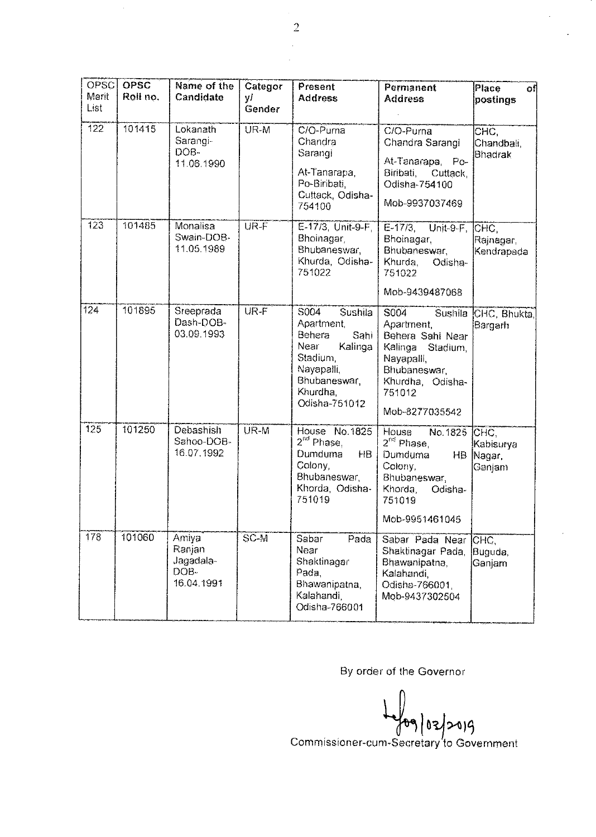| OPSC<br>Merit<br>List | <b>OPSC</b><br>Roll no. | Name of the<br>Candidate                           | Categor<br>Υİ<br>Gender | Present<br><b>Address</b>                                                                                                                 | Permanent<br><b>Address</b>                                                                                                                            | <b>Place</b><br>٥f<br>postings   |
|-----------------------|-------------------------|----------------------------------------------------|-------------------------|-------------------------------------------------------------------------------------------------------------------------------------------|--------------------------------------------------------------------------------------------------------------------------------------------------------|----------------------------------|
| 122                   | 101415                  | Lokanath<br>Sarangi-<br>DOB-<br>11.06.1990         | UR-M                    | $C/O$ -Purna<br>Chandra<br>Sarangi<br>At-Tanarapa,<br>Po-Biribati,<br>Cuttack, Odisha-<br>754100                                          | C/O-Purna<br>Chandra Sarangi<br>At-Tanarapa, Po-<br>Biribati,<br>Cuttack,<br>Odisha-754100<br>Mob-9937037469                                           | CHC.<br>Chandbali,<br>Bhadrak    |
| 123                   | 101485                  | Monalisa<br>Swain-DOB-<br>11.05.1989               | UR-F                    | E-17/3, Unit-9-F,<br>Bhoinagar,<br>Bhubaneswar,<br>Khurda, Odisha-<br>751022                                                              | $E-17/3$ ,<br>Unit-9-F.<br>Bhoinagar,<br>Bhubaneswar,<br>Khurda,<br>Odisha-<br>751022<br>Mob-9439487068                                                | CHC.<br>Rajnagar,<br>Kendrapada  |
| 124                   | 101895                  | Sreeprada<br>Dash-DOB-<br>03.09.1993               | UR-F                    | S004<br>Sushila<br>Apartment,<br>Behera<br>Sahi<br>Near<br>Kalinga<br>Stadium.<br>Nayapalli,<br>Bhubaneswar,<br>Khurdha.<br>Odisha-751012 | S004<br>Sushila<br>Apartment,<br>Behera Sahi Near<br>Kalinga<br>Stadium,<br>Nayapalli,<br>Bhubaneswar,<br>Khurdha, Odisha-<br>751012<br>Mob-8277035542 | CHC, Bhukta,<br>Bargarh          |
| 125                   | 101250                  | Debashish<br>Sahoo-DOB-<br>16.07.1992              | UR-M                    | House No. 1825<br>2 <sup>nd</sup> Phase,<br>Dumduma<br>HΒ<br>Colony.<br>Bhubaneswar,<br>Khorda, Odisha-<br>751019                         | House<br>No. 1825 CHC.<br>2 <sup>nd</sup> Phase,<br>Dumduma<br>Colony,<br>Bhubaneswar,<br>Khorda,<br>Odisha-<br>751019<br>Mob-9951461045               | Kabisurya<br>HB Nagar,<br>Ganjam |
| 178                   | 101060                  | Amiya<br>Ranjan<br>Jagadala-<br>DOB-<br>16.04.1991 | $SC-M$                  | Sabar<br>Pada<br>Near<br>Shaktinagar<br>Pada.<br>Bhawanipatna,<br>Kalahandi,<br>Odisha-766001                                             | Sabar Pada Near<br>Shaktinagar Pada,<br>Bhawanipatna,<br>Kalahandi,<br>Odisha-766001,<br>Mob-9437302504                                                | CHC,<br>Buguda.<br>Ganjam        |

By order of the Governor

02/2019

Commissioner-eu ecretary to Government.  $\ddot{\phantom{0}}$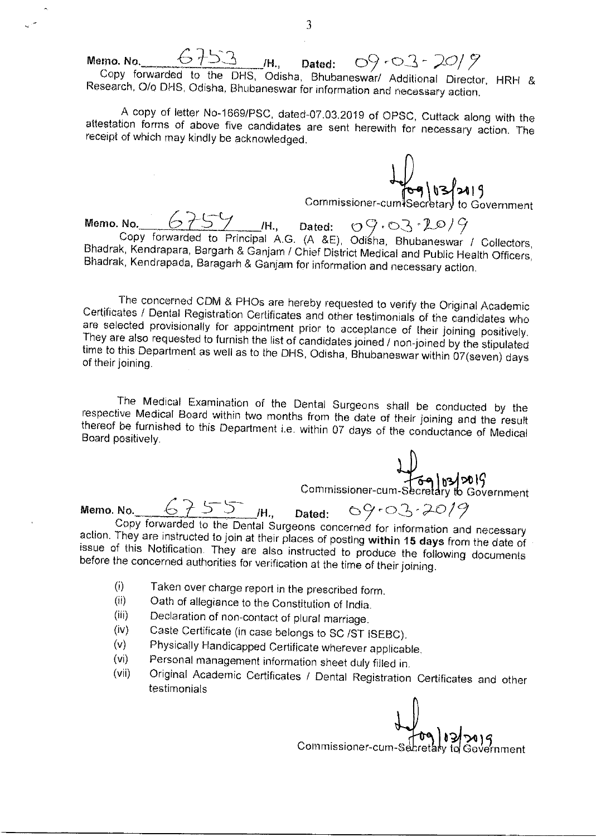Memo. No.  $6753$  /H., Dated:  $09.03 - 20/2$ Copy forwarded to the OHS, Odisha, Bhubaneswar/ Additional Director, HRH & Research, 0/0 DHS, Odisha, Bhubaneswar for information and necessary action.

A copy of letter No-1669/PSC, dated-07.03.2019 of OPSC, Cuttack along with the attestation forms of above five candidates are sent herewith for necessary action. The receipt of which may kindly be acknowledged.

 $\frac{1}{69}$   $03$  219

Commissioner-cum ?ecrtan, to Government

Commissioner-cum Secretary to  $\frac{6755}{16}$ , Dated:  $09.03 - 20/9$ Copy forwarded to Principal A.G. (A &E), Odisha, Bhubaneswar / Collectors, Bhadrak, Kendrapara, Bargarh & Ganjam / Chief District Medical and Public Health Officers, Bhadrak, Kendrapada, Baragarh & Ganjam for information and necessary action.

The concerned CDM & PHOs are hereby requested to verify the Original Academic Certificates / Dental Registration Certificates and other testimonials of the candidates who are selected provisionally for appointment prior to acceptance of their joining positively. They are also requested to furnish the list of candidates joined / non-joined by the stipulated time to this Department as well as to the DHS, Odisha, Bhubaneswar within 07(seven) days of their joining.

The Medical Examination of the Dental Surgeons shall be conducted by the respective Medical Board within two months from the date of their joining and the result thereof be furnished to this Department i.e. within 07 days of the conductance of Medical Board positively.

 $\bigcup_{\substack{69 \mid 63/2019 \ \text{Commissioner-cum-Secretary to Government} } }$ Memo. No.  $675$  /H., Dated: Copy forwarded to the Dental Surgeons concerned for information and necessary action. They are instructed to join at their places of posting within 15 days from the date of issue of this Notification. They are also instructed to produce the following documents before the concerned authorities for verification at the time of their joining.

- Taken over charge report in the prescribed form.  $(i)$
- $(ii)$ Oath of allegiance to the Constitution of India.
- Declaration of non-contact of plural marriage.  $(iii)$
- Caste Certificate (in case belongs to SC /ST ISEBC).  $(iv)$
- Physically Handicapped Certificate wherever applicable.  $(v)$
- Personal management information sheet duly filled in.  $(v<sub>i</sub>)$
- Original Academic Certificates / Dental Registration Certificates and other  $(vii)$ testimonials

Government Commissioner-cum-Secret

.3